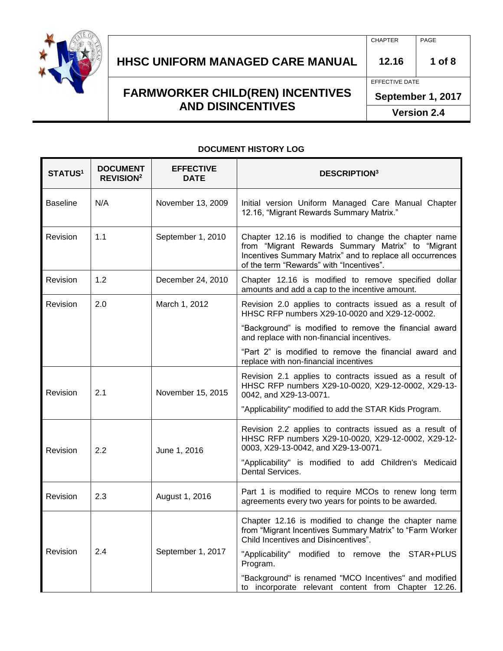

# **HHSC UNIFORM MANAGED CARE MANUAL 12.16 1 of 8**

## **FARMWORKER CHILD(REN) INCENTIVES AND DISINCENTIVES**

CHAPTER PAGE

EFFECTIVE DATE

**September 1, 2017**

**Version 2.4**

#### **DOCUMENT HISTORY LOG**

| STATUS <sup>1</sup> | <b>DOCUMENT</b><br><b>REVISION<sup>2</sup></b> | <b>EFFECTIVE</b><br><b>DATE</b> | <b>DESCRIPTION3</b>                                                                                                                                                                                                                |
|---------------------|------------------------------------------------|---------------------------------|------------------------------------------------------------------------------------------------------------------------------------------------------------------------------------------------------------------------------------|
| <b>Baseline</b>     | N/A                                            | November 13, 2009               | Initial version Uniform Managed Care Manual Chapter<br>12.16, "Migrant Rewards Summary Matrix."                                                                                                                                    |
| Revision            | 1.1                                            | September 1, 2010               | Chapter 12.16 is modified to change the chapter name<br>from "Migrant Rewards Summary Matrix" to "Migrant<br>Incentives Summary Matrix" and to replace all occurrences<br>of the term "Rewards" with "Incentives".                 |
| <b>Revision</b>     | 1.2                                            | December 24, 2010               | Chapter 12.16 is modified to remove specified dollar<br>amounts and add a cap to the incentive amount.                                                                                                                             |
| Revision            | 2.0                                            | March 1, 2012                   | Revision 2.0 applies to contracts issued as a result of<br>HHSC RFP numbers X29-10-0020 and X29-12-0002.                                                                                                                           |
|                     |                                                |                                 | "Background" is modified to remove the financial award<br>and replace with non-financial incentives.                                                                                                                               |
|                     |                                                |                                 | "Part 2" is modified to remove the financial award and<br>replace with non-financial incentives                                                                                                                                    |
| Revision            | 2.1                                            | November 15, 2015               | Revision 2.1 applies to contracts issued as a result of<br>HHSC RFP numbers X29-10-0020, X29-12-0002, X29-13-<br>0042, and X29-13-0071.                                                                                            |
|                     |                                                |                                 | "Applicability" modified to add the STAR Kids Program.                                                                                                                                                                             |
| Revision            | 2.2                                            | June 1, 2016                    | Revision 2.2 applies to contracts issued as a result of<br>HHSC RFP numbers X29-10-0020, X29-12-0002, X29-12-<br>0003, X29-13-0042, and X29-13-0071.<br>"Applicability" is modified to add Children's Medicaid<br>Dental Services. |
|                     |                                                |                                 |                                                                                                                                                                                                                                    |
| Revision            | 2.3                                            | August 1, 2016                  | Part 1 is modified to require MCOs to renew long term<br>agreements every two years for points to be awarded.                                                                                                                      |
|                     |                                                |                                 | Chapter 12.16 is modified to change the chapter name<br>from "Migrant Incentives Summary Matrix" to "Farm Worker<br>Child Incentives and Disincentives".                                                                           |
| <b>Revision</b>     | 2.4                                            | September 1, 2017               | "Applicability" modified to remove the STAR+PLUS<br>Program.                                                                                                                                                                       |
|                     |                                                |                                 | "Background" is renamed "MCO Incentives" and modified<br>to incorporate relevant content from Chapter 12.26.                                                                                                                       |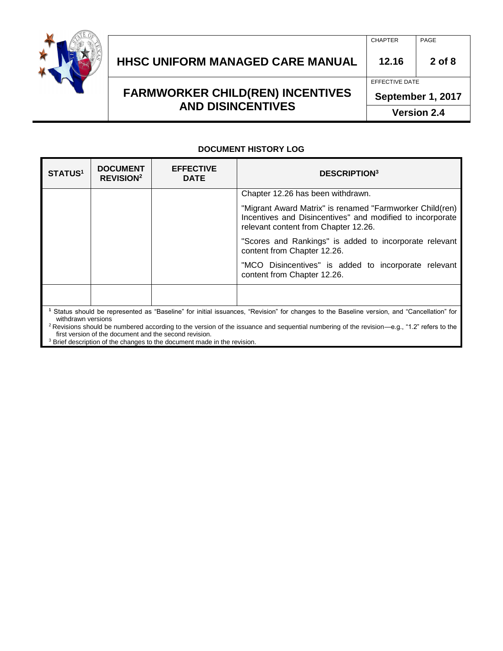

## **HHSC UNIFORM MANAGED CARE MANUAL 12.16 2 of 8**

**FARMWORKER CHILD(REN) INCENTIVES AND DISINCENTIVES**

# CHAPTER PAGE

#### EFFECTIVE DATE

**September 1, 2017**

**Version 2.4**

#### **DOCUMENT HISTORY LOG**

| <b>STATUS1</b> | <b>DOCUMENT</b><br><b>REVISION<sup>2</sup></b> | <b>EFFECTIVE</b><br><b>DATE</b> | <b>DESCRIPTION</b> <sup>3</sup>                                                                                                                               |
|----------------|------------------------------------------------|---------------------------------|---------------------------------------------------------------------------------------------------------------------------------------------------------------|
|                |                                                |                                 | Chapter 12.26 has been withdrawn.                                                                                                                             |
|                |                                                |                                 | "Migrant Award Matrix" is renamed "Farmworker Child(ren)<br>Incentives and Disincentives" and modified to incorporate<br>relevant content from Chapter 12.26. |
|                |                                                |                                 | "Scores and Rankings" is added to incorporate relevant<br>content from Chapter 12.26.                                                                         |
|                |                                                |                                 | "MCO Disincentives" is added to incorporate relevant<br>content from Chapter 12.26.                                                                           |
|                |                                                |                                 |                                                                                                                                                               |
|                |                                                |                                 | Status should be represented as "Baseline" for initial issuances, "Revision" for changes to the Baseline version, and "Cancellation" for                      |

withdrawn versions <sup>2</sup>Revisions should be numbered according to the version of the issuance and sequential numbering of the revision—e.g., "1.2" refers to the first version of the document and the second revision.

<sup>3</sup> Brief description of the changes to the document made in the revision.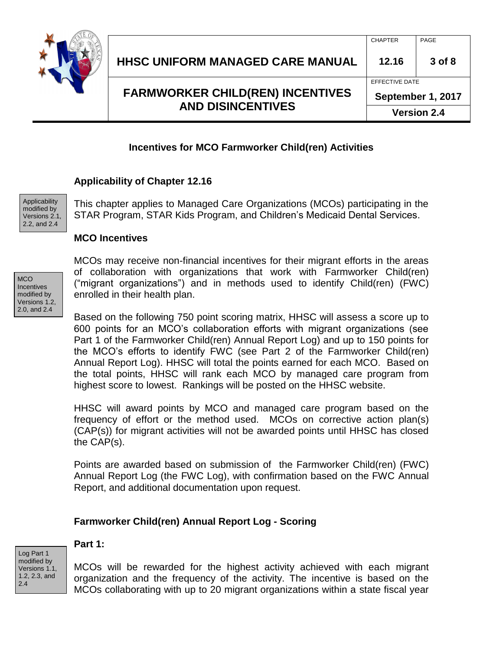

CHAPTER PAGE

**Version 2.4**

## **Incentives for MCO Farmworker Child(ren) Activities**

## **Applicability of Chapter 12.16**

Applicability modified by Versions 2.1, 2.2, and 2.4

This chapter applies to Managed Care Organizations (MCOs) participating in the STAR Program, STAR Kids Program, and Children's Medicaid Dental Services.

#### **MCO Incentives**



MCOs may receive non-financial incentives for their migrant efforts in the areas of collaboration with organizations that work with Farmworker Child(ren) ("migrant organizations") and in methods used to identify Child(ren) (FWC) enrolled in their health plan.

Based on the following 750 point scoring matrix, HHSC will assess a score up to 600 points for an MCO's collaboration efforts with migrant organizations (see Part 1 of the Farmworker Child(ren) Annual Report Log) and up to 150 points for the MCO's efforts to identify FWC (see Part 2 of the Farmworker Child(ren) Annual Report Log). HHSC will total the points earned for each MCO. Based on the total points, HHSC will rank each MCO by managed care program from highest score to lowest. Rankings will be posted on the HHSC website.

HHSC will award points by MCO and managed care program based on the frequency of effort or the method used. MCOs on corrective action plan(s) (CAP(s)) for migrant activities will not be awarded points until HHSC has closed the CAP(s).

Points are awarded based on submission of the Farmworker Child(ren) (FWC) Annual Report Log (the FWC Log), with confirmation based on the FWC Annual Report, and additional documentation upon request.

## **Farmworker Child(ren) Annual Report Log - Scoring**

Log Part 1 modified by Versions 1.1, 1.2, 2.3, and 2.4

#### **Part 1:**

MCOs will be rewarded for the highest activity achieved with each migrant organization and the frequency of the activity. The incentive is based on the MCOs collaborating with up to 20 migrant organizations within a state fiscal year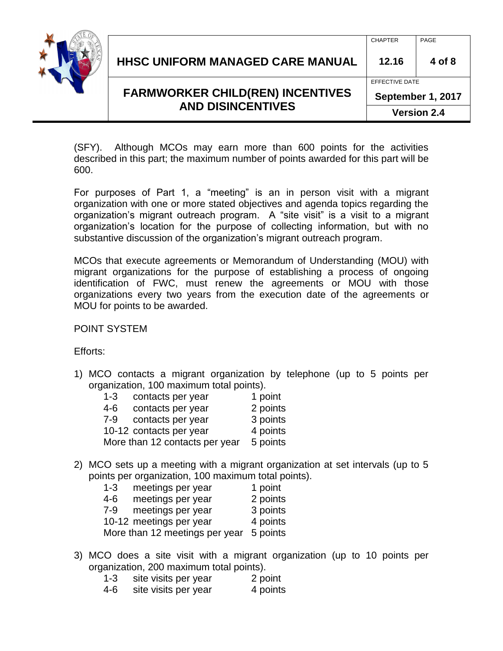

CHAPTER PAGE

**Version 2.4**

(SFY). Although MCOs may earn more than 600 points for the activities described in this part; the maximum number of points awarded for this part will be 600.

For purposes of Part 1, a "meeting" is an in person visit with a migrant organization with one or more stated objectives and agenda topics regarding the organization's migrant outreach program. A "site visit" is a visit to a migrant organization's location for the purpose of collecting information, but with no substantive discussion of the organization's migrant outreach program.

MCOs that execute agreements or Memorandum of Understanding (MOU) with migrant organizations for the purpose of establishing a process of ongoing identification of FWC, must renew the agreements or MOU with those organizations every two years from the execution date of the agreements or MOU for points to be awarded.

POINT SYSTEM

Efforts:

1) MCO contacts a migrant organization by telephone (up to 5 points per organization, 100 maximum total points).

| $1 - 3$ | contacts per year              | 1 point  |
|---------|--------------------------------|----------|
| 4-6     | contacts per year              | 2 points |
| $7 - 9$ | contacts per year              | 3 points |
|         | 10-12 contacts per year        | 4 points |
|         | More than 12 contacts per year | 5 points |
|         |                                |          |

2) MCO sets up a meeting with a migrant organization at set intervals (up to 5 points per organization, 100 maximum total points).

| $1 - 3$ | meetings per year              | 1 point  |
|---------|--------------------------------|----------|
| $4 - 6$ | meetings per year              | 2 points |
| $7-9$   | meetings per year              | 3 points |
|         | 10-12 meetings per year        | 4 points |
|         | More than 12 meetings per year | 5 points |

- 3) MCO does a site visit with a migrant organization (up to 10 points per organization, 200 maximum total points).
	- 1-3 site visits per year 2 point
	- 4-6 site visits per year 4 points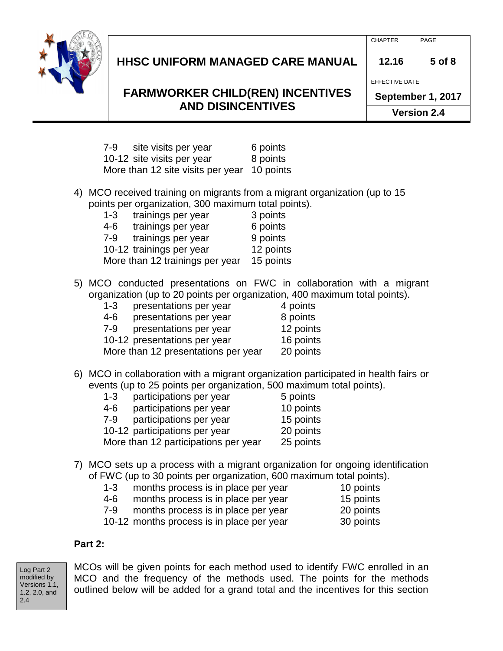

## **HHSC UNIFORM MANAGED CARE MANUAL 12.16 5 of 8**

## **FARMWORKER CHILD(REN) INCENTIVES AND DISINCENTIVES**

CHAPTER PAGE

EFFECTIVE DATE

**September 1, 2017**

**Version 2.4**

| 7-9 | site visits per year              | 6 points  |
|-----|-----------------------------------|-----------|
|     | 10-12 site visits per year        | 8 points  |
|     | More than 12 site visits per year | 10 points |

4) MCO received training on migrants from a migrant organization (up to 15 points per organization, 300 maximum total points).

| $1 - 3$                         | trainings per year       | 3 points  |
|---------------------------------|--------------------------|-----------|
| $4 - 6$                         | trainings per year       | 6 points  |
| $7-9$                           | trainings per year       | 9 points  |
|                                 | 10-12 trainings per year | 12 points |
| More than 12 trainings per year | 15 points                |           |

5) MCO conducted presentations on FWC in collaboration with a migrant organization (up to 20 points per organization, 400 maximum total points).

| $1 - 3$ | presentations per year              | 4 points  |
|---------|-------------------------------------|-----------|
| 4-6     | presentations per year              | 8 points  |
| 7-9     | presentations per year              | 12 points |
|         | 10-12 presentations per year        | 16 points |
|         | More than 12 presentations per year | 20 points |

6) MCO in collaboration with a migrant organization participated in health fairs or events (up to 25 points per organization, 500 maximum total points).

| $1 - 3$ | participations per year              | 5 points  |
|---------|--------------------------------------|-----------|
| 4-6     | participations per year              | 10 points |
| 7-9     | participations per year              | 15 points |
|         | 10-12 participations per year        | 20 points |
|         | More than 12 participations per year | 25 points |
|         |                                      |           |

- 7) MCO sets up a process with a migrant organization for ongoing identification of FWC (up to 30 points per organization, 600 maximum total points).
	- 1-3 months process is in place per year 10 points 4-6 months process is in place per year 15 points
	- 7-9 months process is in place per year 20 points
	- 10-12 months process is in place per year 30 points

## **Part 2:**

Log Part 2 modified by Versions 1.1, 1.2, 2.0, and 2.4

MCOs will be given points for each method used to identify FWC enrolled in an MCO and the frequency of the methods used. The points for the methods outlined below will be added for a grand total and the incentives for this section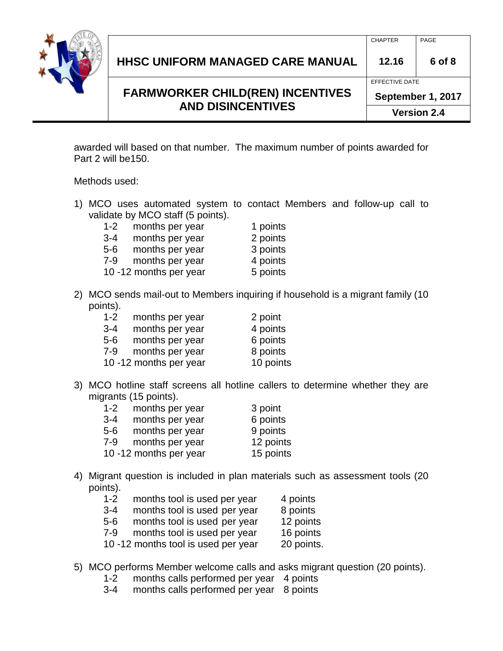

| <b>HHSC UNIFORM MANAGED CARE MANUAL</b> | 12.16 | 6 of 8 |
|-----------------------------------------|-------|--------|
|                                         |       |        |

**Version 2.4**

awarded will based on that number. The maximum number of points awarded for Part 2 will be150.

Methods used:

- 1) MCO uses automated system to contact Members and follow-up call to validate by MCO staff (5 points).
	- 1-2 months per year 1 points
	- 3-4 months per year 2 points
	- 5-6 months per year 3 points
	- 7-9 months per year 4 points
	- 10 -12 months per year 5 points
- 2) MCO sends mail-out to Members inquiring if household is a migrant family (10 points).

| $1 - 2$ | months per year        | 2 point   |
|---------|------------------------|-----------|
| $3 - 4$ | months per year        | 4 points  |
| $5-6$   | months per year        | 6 points  |
| $7-9$   | months per year        | 8 points  |
|         | 10 -12 months per year | 10 points |

3) MCO hotline staff screens all hotline callers to determine whether they are migrants (15 points).

| $1 - 2$ | months per year        | 3 point   |
|---------|------------------------|-----------|
| $3 - 4$ | months per year        | 6 points  |
| $5-6$   | months per year        | 9 points  |
| $7-9$   | months per year        | 12 points |
|         | 10 -12 months per year | 15 points |

- 4) Migrant question is included in plan materials such as assessment tools (20 points).
	- 1-2 months tool is used per year 4 points
	- 3-4 months tool is used per year 8 points
	- 5-6 months tool is used per year 12 points
	- 7-9 months tool is used per year 16 points
	- 10 -12 months tool is used per year 20 points.
- 5) MCO performs Member welcome calls and asks migrant question (20 points).
	- 1-2 months calls performed per year 4 points
	- 3-4 months calls performed per year 8 points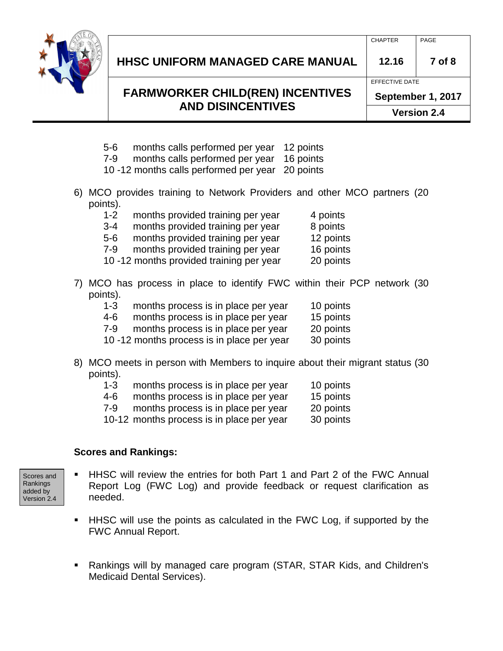

## **HHSC UNIFORM MANAGED CARE MANUAL 12.16 7 of 8**

## **FARMWORKER CHILD(REN) INCENTIVES AND DISINCENTIVES**

CHAPTER PAGE

EFFECTIVE DATE

**September 1, 2017**

**Version 2.4**

- 5-6 months calls performed per year 12 points
- 7-9 months calls performed per year 16 points
- 10 -12 months calls performed per year 20 points
- 6) MCO provides training to Network Providers and other MCO partners (20 points).

| ιιιο <i>ן</i> . |                                          |           |
|-----------------|------------------------------------------|-----------|
| $1 - 2$         | months provided training per year        | 4 points  |
| $3 - 4$         | months provided training per year        | 8 points  |
| 5-6             | months provided training per year        | 12 points |
| $7-9$           | months provided training per year        | 16 points |
|                 | 10 -12 months provided training per year | 20 points |

- 7) MCO has process in place to identify FWC within their PCP network (30 points).
	- 1-3 months process is in place per year 10 points
	- 4-6 months process is in place per year 15 points
	- 7-9 months process is in place per year 20 points
	- 10 -12 months process is in place per year 30 points
- 8) MCO meets in person with Members to inquire about their migrant status (30 points).
	- 1-3 months process is in place per year 10 points
	- 4-6 months process is in place per year 15 points
	- 7-9 months process is in place per year 20 points
	- 10-12 months process is in place per year 30 points

## **Scores and Rankings:**

Scores and Rankings added by Version 2.4

- HHSC will review the entries for both Part 1 and Part 2 of the FWC Annual Report Log (FWC Log) and provide feedback or request clarification as needed.
- **HHSC** will use the points as calculated in the FWC Log, if supported by the FWC Annual Report.
- Rankings will by managed care program (STAR, STAR Kids, and Children's Medicaid Dental Services).